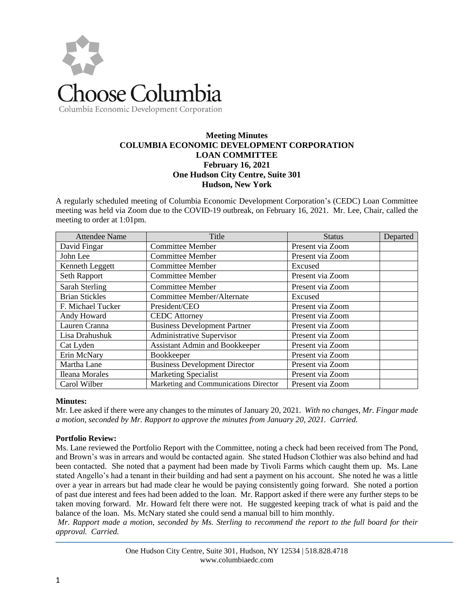

# Columbia Economic Development Corporation

### **Meeting Minutes COLUMBIA ECONOMIC DEVELOPMENT CORPORATION LOAN COMMITTEE February 16, 2021 One Hudson City Centre, Suite 301 Hudson, New York**

A regularly scheduled meeting of Columbia Economic Development Corporation's (CEDC) Loan Committee meeting was held via Zoom due to the COVID-19 outbreak, on February 16, 2021. Mr. Lee, Chair, called the meeting to order at 1:01pm.

| <b>Attendee Name</b>  | Title                                 | <b>Status</b>    | Departed |
|-----------------------|---------------------------------------|------------------|----------|
| David Fingar          | <b>Committee Member</b>               | Present via Zoom |          |
| John Lee              | <b>Committee Member</b>               | Present via Zoom |          |
| Kenneth Leggett       | Committee Member                      | Excused          |          |
| Seth Rapport          | <b>Committee Member</b>               | Present via Zoom |          |
| <b>Sarah Sterling</b> | <b>Committee Member</b>               | Present via Zoom |          |
| <b>Brian Stickles</b> | Committee Member/Alternate            | Excused          |          |
| F. Michael Tucker     | President/CEO                         | Present via Zoom |          |
| Andy Howard           | <b>CEDC</b> Attorney                  | Present via Zoom |          |
| Lauren Cranna         | <b>Business Development Partner</b>   | Present via Zoom |          |
| Lisa Drahushuk        | Administrative Supervisor             | Present via Zoom |          |
| Cat Lyden             | <b>Assistant Admin and Bookkeeper</b> | Present via Zoom |          |
| Erin McNary           | Bookkeeper                            | Present via Zoom |          |
| Martha Lane           | <b>Business Development Director</b>  | Present via Zoom |          |
| <b>Ileana Morales</b> | <b>Marketing Specialist</b>           | Present via Zoom |          |
| Carol Wilber          | Marketing and Communications Director | Present via Zoom |          |

#### **Minutes:**

Mr. Lee asked if there were any changes to the minutes of January 20, 2021. *With no changes, Mr. Fingar made a motion, seconded by Mr. Rapport to approve the minutes from January 20, 2021. Carried.* 

### **Portfolio Review:**

Ms. Lane reviewed the Portfolio Report with the Committee, noting a check had been received from The Pond, and Brown's was in arrears and would be contacted again. She stated Hudson Clothier was also behind and had been contacted. She noted that a payment had been made by Tivoli Farms which caught them up. Ms. Lane stated Angello's had a tenant in their building and had sent a payment on his account. She noted he was a little over a year in arrears but had made clear he would be paying consistently going forward. She noted a portion of past due interest and fees had been added to the loan. Mr. Rapport asked if there were any further steps to be taken moving forward. Mr. Howard felt there were not. He suggested keeping track of what is paid and the balance of the loan. Ms. McNary stated she could send a manual bill to him monthly.

*Mr. Rapport made a motion, seconded by Ms. Sterling to recommend the report to the full board for their approval. Carried.*